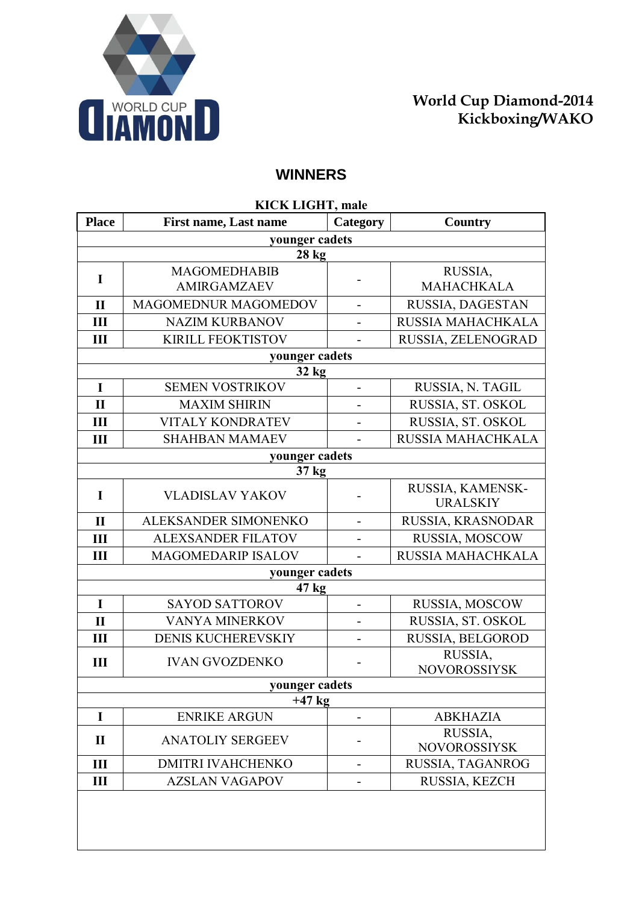

## **WINNERS**

| <b>KICK LIGHT, male</b> |                              |                              |                                     |
|-------------------------|------------------------------|------------------------------|-------------------------------------|
| <b>Place</b>            | <b>First name, Last name</b> | Category                     | Country                             |
|                         | younger cadets               |                              |                                     |
|                         | 28 <sub>kg</sub>             |                              |                                     |
| $\mathbf I$             | <b>MAGOMEDHABIB</b>          |                              | RUSSIA,                             |
|                         | <b>AMIRGAMZAEV</b>           |                              | <b>MAHACHKALA</b>                   |
| $\mathbf{I}$            | MAGOMEDNUR MAGOMEDOV         |                              | RUSSIA, DAGESTAN                    |
| III                     | <b>NAZIM KURBANOV</b>        |                              | RUSSIA MAHACHKALA                   |
| Ш                       | <b>KIRILL FEOKTISTOV</b>     |                              | RUSSIA, ZELENOGRAD                  |
|                         | younger cadets               |                              |                                     |
|                         | 32 kg                        |                              |                                     |
| $\mathbf I$             | <b>SEMEN VOSTRIKOV</b>       | $\overline{\phantom{0}}$     | RUSSIA, N. TAGIL                    |
| $\mathbf{I}$            | <b>MAXIM SHIRIN</b>          |                              | RUSSIA, ST. OSKOL                   |
| III                     | <b>VITALY KONDRATEV</b>      |                              | RUSSIA, ST. OSKOL                   |
| III                     | <b>SHAHBAN MAMAEV</b>        |                              | RUSSIA MAHACHKALA                   |
|                         | younger cadets               |                              |                                     |
|                         | 37 kg                        |                              |                                     |
| $\mathbf I$             | <b>VLADISLAV YAKOV</b>       | $\qquad \qquad \blacksquare$ | RUSSIA, KAMENSK-<br><b>URALSKIY</b> |
| $\mathbf{I}$            | ALEKSANDER SIMONENKO         | $\overline{\phantom{0}}$     | RUSSIA, KRASNODAR                   |
| III                     | <b>ALEXSANDER FILATOV</b>    |                              | RUSSIA, MOSCOW                      |
| III                     | <b>MAGOMEDARIP ISALOV</b>    |                              | RUSSIA MAHACHKALA                   |
|                         | younger cadets               |                              |                                     |
|                         | 47 <sub>kg</sub>             |                              |                                     |
| $\mathbf I$             | <b>SAYOD SATTOROV</b>        | $\overline{\phantom{0}}$     | RUSSIA, MOSCOW                      |
| $\mathbf{I}$            | VANYA MINERKOV               |                              | RUSSIA, ST. OSKOL                   |
| III                     | DENIS KUCHEREVSKIY           | $\overline{\phantom{0}}$     | RUSSIA, BELGOROD                    |
| III                     | <b>IVAN GVOZDENKO</b>        |                              | RUSSIA,                             |
|                         |                              |                              | <b>NOVOROSSIYSK</b>                 |
| younger cadets          |                              |                              |                                     |
|                         | $+47$ kg                     |                              |                                     |
| I                       | <b>ENRIKE ARGUN</b>          |                              | <b>ABKHAZIA</b>                     |
| $\mathbf{I}$            | <b>ANATOLIY SERGEEV</b>      |                              | RUSSIA,<br><b>NOVOROSSIYSK</b>      |
| III                     | <b>DMITRI IVAHCHENKO</b>     |                              | RUSSIA, TAGANROG                    |
| III                     | <b>AZSLAN VAGAPOV</b>        |                              | RUSSIA, KEZCH                       |
|                         |                              |                              |                                     |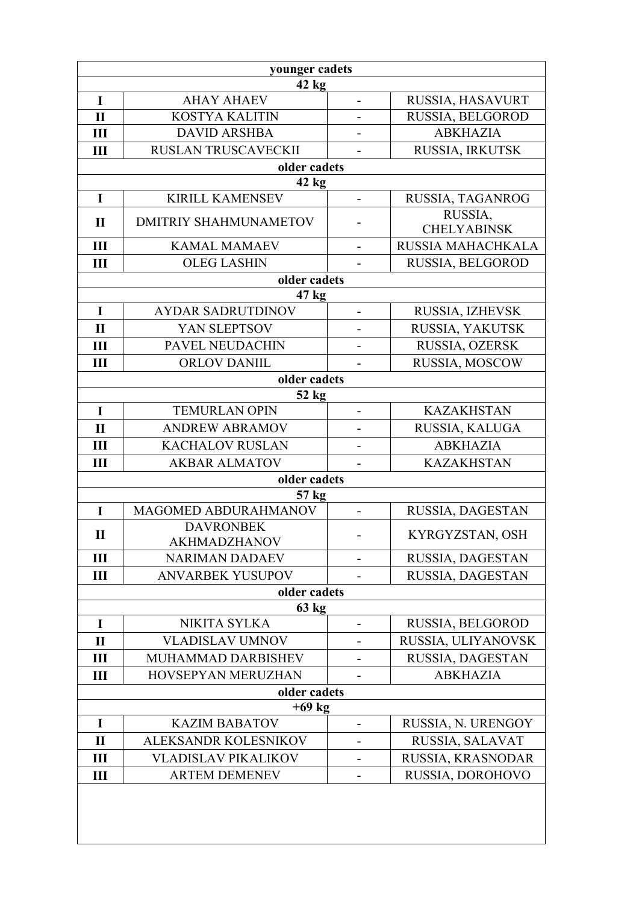| younger cadets |                                         |                          |                               |  |
|----------------|-----------------------------------------|--------------------------|-------------------------------|--|
| $42$ kg        |                                         |                          |                               |  |
| I              | <b>AHAY AHAEV</b>                       | $\overline{\phantom{0}}$ | RUSSIA, HASAVURT              |  |
| $\mathbf{I}$   | <b>KOSTYA KALITIN</b>                   |                          | RUSSIA, BELGOROD              |  |
| Ш              | <b>DAVID ARSHBA</b>                     |                          | <b>ABKHAZIA</b>               |  |
| Ш              | <b>RUSLAN TRUSCAVECKII</b>              |                          | RUSSIA, IRKUTSK               |  |
|                | older cadets                            |                          |                               |  |
|                | $42$ kg                                 |                          |                               |  |
| I              | <b>KIRILL KAMENSEV</b>                  | $\overline{\phantom{a}}$ | RUSSIA, TAGANROG              |  |
| $\mathbf{I}$   | <b>DMITRIY SHAHMUNAMETOV</b>            |                          | RUSSIA,<br><b>CHELYABINSK</b> |  |
| III            | <b>KAMAL MAMAEV</b>                     | $\overline{\phantom{0}}$ | RUSSIA MAHACHKALA             |  |
| Ш              | <b>OLEG LASHIN</b>                      |                          | RUSSIA, BELGOROD              |  |
|                | older cadets                            |                          |                               |  |
|                | 47 kg                                   |                          |                               |  |
| $\mathbf I$    | <b>AYDAR SADRUTDINOV</b>                | $\overline{\phantom{a}}$ | RUSSIA, IZHEVSK               |  |
| $\mathbf{I}$   | YAN SLEPTSOV                            | -                        | RUSSIA, YAKUTSK               |  |
| Ш              | <b>PAVEL NEUDACHIN</b>                  | $\overline{\phantom{0}}$ | RUSSIA, OZERSK                |  |
| Ш              | ORLOV DANIIL                            |                          | RUSSIA, MOSCOW                |  |
|                | older cadets                            |                          |                               |  |
|                | 52 kg                                   |                          |                               |  |
| I              | <b>TEMURLAN OPIN</b>                    | $\overline{\phantom{0}}$ | <b>KAZAKHSTAN</b>             |  |
| $\mathbf{I}$   | <b>ANDREW ABRAMOV</b>                   | -                        | RUSSIA, KALUGA                |  |
| Ш              | <b>KACHALOV RUSLAN</b>                  |                          | <b>ABKHAZIA</b>               |  |
| Ш              | <b>AKBAR ALMATOV</b>                    | -                        | <b>KAZAKHSTAN</b>             |  |
|                | older cadets                            |                          |                               |  |
|                | 57 kg                                   |                          |                               |  |
| $\mathbf I$    | MAGOMED ABDURAHMANOV                    | $\blacksquare$           | RUSSIA, DAGESTAN              |  |
| $\mathbf{I}$   | <b>DAVRONBEK</b><br><b>AKHMADZHANOV</b> | -                        | KYRGYZSTAN, OSH               |  |
| Ш              | <b>NARIMAN DADAEV</b>                   |                          | RUSSIA, DAGESTAN              |  |
| Ш              | <b>ANVARBEK YUSUPOV</b>                 |                          | RUSSIA, DAGESTAN              |  |
|                | older cadets                            |                          |                               |  |
|                | 63 kg                                   |                          |                               |  |
| I              | NIKITA SYLKA                            |                          | RUSSIA, BELGOROD              |  |
| $\mathbf{I}$   | <b>VLADISLAV UMNOV</b>                  |                          | RUSSIA, ULIYANOVSK            |  |
| Ш              | MUHAMMAD DARBISHEV                      |                          | RUSSIA, DAGESTAN              |  |
| Ш              | <b>HOVSEPYAN MERUZHAN</b>               |                          | <b>ABKHAZIA</b>               |  |
|                | older cadets                            |                          |                               |  |
| $+69$ kg       |                                         |                          |                               |  |
| $\bf{I}$       | <b>KAZIM BABATOV</b>                    |                          | RUSSIA, N. URENGOY            |  |
| $\mathbf{I}$   | ALEKSANDR KOLESNIKOV                    |                          | RUSSIA, SALAVAT               |  |
| Ш              | VLADISLAV PIKALIKOV                     |                          | RUSSIA, KRASNODAR             |  |
| Ш              | <b>ARTEM DEMENEV</b>                    |                          | RUSSIA, DOROHOVO              |  |
|                |                                         |                          |                               |  |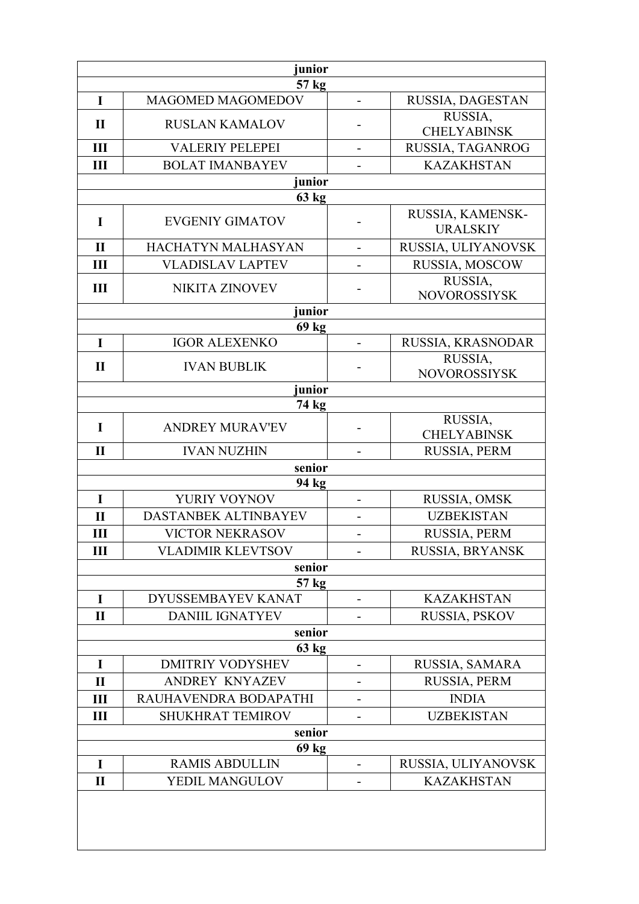| junior       |                                   |                          |                                     |
|--------------|-----------------------------------|--------------------------|-------------------------------------|
| I            | 57 kg<br><b>MAGOMED MAGOMEDOV</b> |                          | RUSSIA, DAGESTAN                    |
|              |                                   |                          | RUSSIA,                             |
| $\mathbf{I}$ | <b>RUSLAN KAMALOV</b>             |                          | <b>CHELYABINSK</b>                  |
| III          | <b>VALERIY PELEPEI</b>            |                          | RUSSIA, TAGANROG                    |
| Ш            | <b>BOLAT IMANBAYEV</b>            |                          | <b>KAZAKHSTAN</b>                   |
|              | junior                            |                          |                                     |
|              | 63 kg                             |                          |                                     |
| $\mathbf I$  | <b>EVGENIY GIMATOV</b>            |                          | RUSSIA, KAMENSK-<br><b>URALSKIY</b> |
| $\mathbf{I}$ | HACHATYN MALHASYAN                |                          | RUSSIA, ULIYANOVSK                  |
| Ш            | <b>VLADISLAV LAPTEV</b>           |                          | RUSSIA, MOSCOW                      |
| III          | <b>NIKITA ZINOVEV</b>             |                          | RUSSIA,<br><b>NOVOROSSIYSK</b>      |
|              | junior                            |                          |                                     |
|              | 69 kg                             |                          |                                     |
| I            | <b>IGOR ALEXENKO</b>              |                          | RUSSIA, KRASNODAR                   |
| $\mathbf{I}$ | <b>IVAN BUBLIK</b>                |                          | RUSSIA,<br><b>NOVOROSSIYSK</b>      |
|              | junior                            |                          |                                     |
|              | 74 kg                             |                          | RUSSIA,                             |
| $\mathbf I$  | <b>ANDREY MURAV'EV</b>            |                          | <b>CHELYABINSK</b>                  |
| $\mathbf{I}$ | <b>IVAN NUZHIN</b>                |                          | RUSSIA, PERM                        |
|              | senior                            |                          |                                     |
|              | 94 kg                             |                          |                                     |
| I            | YURIY VOYNOV                      | $\overline{\phantom{a}}$ | RUSSIA, OMSK                        |
| $\mathbf{I}$ | DASTANBEK ALTINBAYEV              |                          | <b>UZBEKISTAN</b>                   |
| Ш            | <b>VICTOR NEKRASOV</b>            | $\overline{\phantom{0}}$ | RUSSIA, PERM                        |
| Ш            | <b>VLADIMIR KLEVTSOV</b>          |                          | RUSSIA, BRYANSK                     |
|              | senior<br>57 kg                   |                          |                                     |
| I            | DYUSSEMBAYEV KANAT                | $\overline{\phantom{0}}$ | <b>KAZAKHSTAN</b>                   |
| $\mathbf{I}$ | <b>DANIIL IGNATYEV</b>            |                          | RUSSIA, PSKOV                       |
|              | senior                            |                          |                                     |
| 63 kg        |                                   |                          |                                     |
| I            | <b>DMITRIY VODYSHEV</b>           |                          | RUSSIA, SAMARA                      |
| $\mathbf{I}$ | <b>ANDREY KNYAZEV</b>             |                          | RUSSIA, PERM                        |
| Ш            | RAUHAVENDRA BODAPATHI             | $\overline{\phantom{0}}$ | <b>INDIA</b>                        |
| III          | <b>SHUKHRAT TEMIROV</b>           |                          | <b>UZBEKISTAN</b>                   |
| senior       |                                   |                          |                                     |
| I            | 69 kg<br><b>RAMIS ABDULLIN</b>    |                          | RUSSIA, ULIYANOVSK                  |
| $\mathbf{I}$ | YEDIL MANGULOV                    |                          | <b>KAZAKHSTAN</b>                   |
|              |                                   |                          |                                     |
|              |                                   |                          |                                     |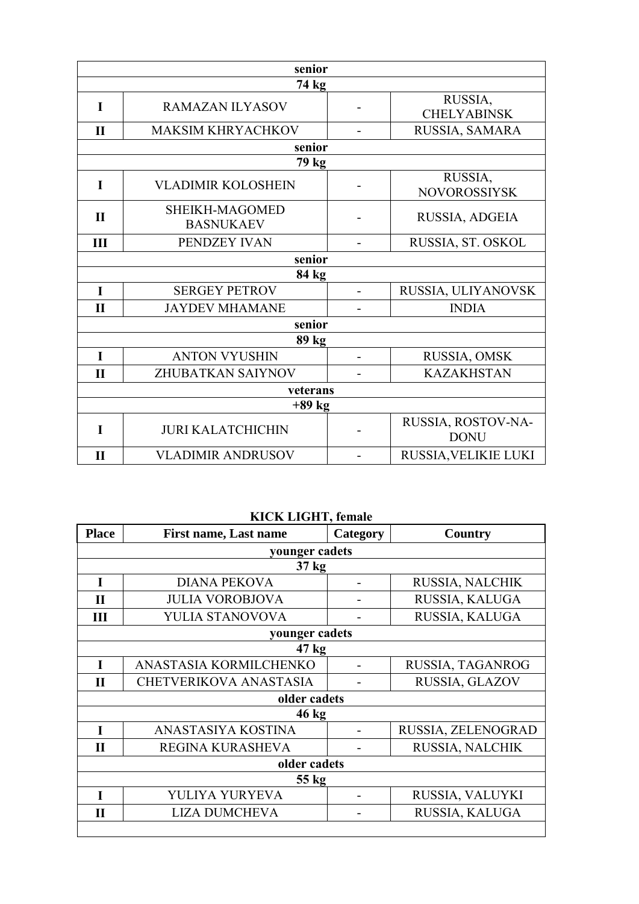| senior       |                                    |                |                                   |
|--------------|------------------------------------|----------------|-----------------------------------|
|              | 74 kg                              |                |                                   |
| $\mathbf I$  | RAMAZAN ILYASOV                    |                | RUSSIA,<br><b>CHELYABINSK</b>     |
| $\mathbf{I}$ | <b>MAKSIM KHRYACHKOV</b>           |                | RUSSIA, SAMARA                    |
|              | senior                             |                |                                   |
|              | 79 kg                              |                |                                   |
| I            | <b>VLADIMIR KOLOSHEIN</b>          |                | RUSSIA,<br><b>NOVOROSSIYSK</b>    |
| $\mathbf{I}$ | SHEIKH-MAGOMED<br><b>BASNUKAEV</b> |                | RUSSIA, ADGEIA                    |
| III          | PENDZEY IVAN                       |                | RUSSIA, ST. OSKOL                 |
| senior       |                                    |                |                                   |
|              | 84 kg                              |                |                                   |
| $\mathbf I$  | <b>SERGEY PETROV</b>               | $\overline{a}$ | RUSSIA, ULIYANOVSK                |
| $\mathbf{I}$ | <b>JAYDEV MHAMANE</b>              |                | <b>INDIA</b>                      |
| senior       |                                    |                |                                   |
| 89 kg        |                                    |                |                                   |
| $\mathbf I$  | <b>ANTON VYUSHIN</b>               |                | RUSSIA, OMSK                      |
| $\mathbf{I}$ | <b>ZHUBATKAN SAIYNOV</b>           |                | <b>KAZAKHSTAN</b>                 |
| veterans     |                                    |                |                                   |
| $+89$ kg     |                                    |                |                                   |
| $\mathbf I$  | <b>JURI KALATCHICHIN</b>           |                | RUSSIA, ROSTOV-NA-<br><b>DONU</b> |
| $\mathbf{I}$ | <b>VLADIMIR ANDRUSOV</b>           |                | RUSSIA, VELIKIE LUKI              |

**KICK LIGHT, female** 

| <b>First name, Last name</b>  | Category | <b>Country</b>     |  |
|-------------------------------|----------|--------------------|--|
| younger cadets                |          |                    |  |
|                               |          |                    |  |
| <b>DIANA PEKOVA</b>           |          | RUSSIA, NALCHIK    |  |
| <b>JULIA VOROBJOVA</b>        |          | RUSSIA, KALUGA     |  |
| YULIA STANOVOVA               |          | RUSSIA, KALUGA     |  |
| younger cadets                |          |                    |  |
| 47 kg                         |          |                    |  |
| ANASTASIA KORMILCHENKO        |          | RUSSIA, TAGANROG   |  |
| <b>CHETVERIKOVA ANASTASIA</b> |          | RUSSIA, GLAZOV     |  |
| older cadets                  |          |                    |  |
| 46 kg                         |          |                    |  |
| ANASTASIYA KOSTINA            |          | RUSSIA, ZELENOGRAD |  |
| REGINA KURASHEVA              |          | RUSSIA, NALCHIK    |  |
| older cadets                  |          |                    |  |
| 55 kg                         |          |                    |  |
| YULIYA YURYEVA                |          | RUSSIA, VALUYKI    |  |
| <b>LIZA DUMCHEVA</b>          |          | RUSSIA, KALUGA     |  |
|                               |          | $37 \text{ kg}$    |  |